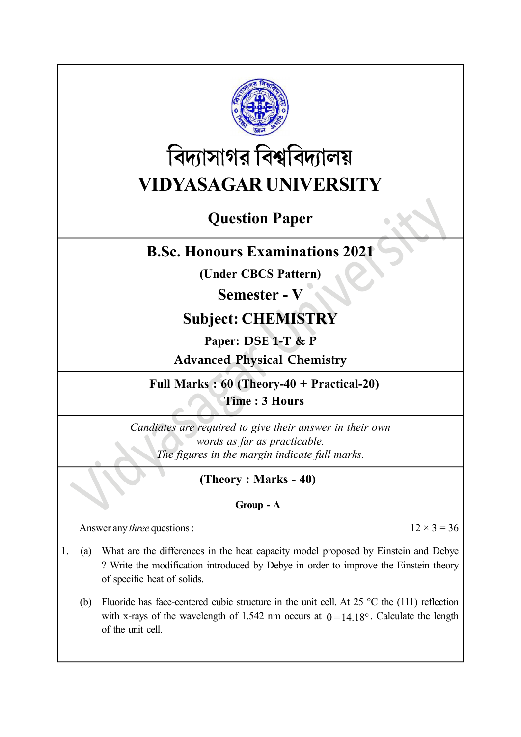

# বিদ্যাসাগর বিশ্ববিদ্যালয় VIDYASAGAR UNIVERSITY

# Question Paper

## B.Sc. Honours Examinations 2021

(Under CBCS Pattern)

### Semester - V

# Subject: CHEMISTRY

Paper: DSE 1-T & P

Advanced Physical Chemistry

Full Marks : 60 (Theory-40 + Practical-20) Time : 3 Hours

Candiates are required to give their answer in their own words as far as practicable. The figures in the margin indicate full marks.

### (Theory : Marks - 40)

#### Group - A

Answer any *three* questions :  $12 \times 3 = 36$ 

- 1. (a) What are the differences in the heat capacity model proposed by Einstein and Debye ? Write the modification introduced by Debye in order to improve the Einstein theory of specific heat of solids.
	- (b) Fluoride has face-centered cubic structure in the unit cell. At 25  $\degree$ C the (111) reflection with x-rays of the wavelength of 1.542 nm occurs at  $\theta = 14.18^\circ$ . Calculate the length of the unit cell.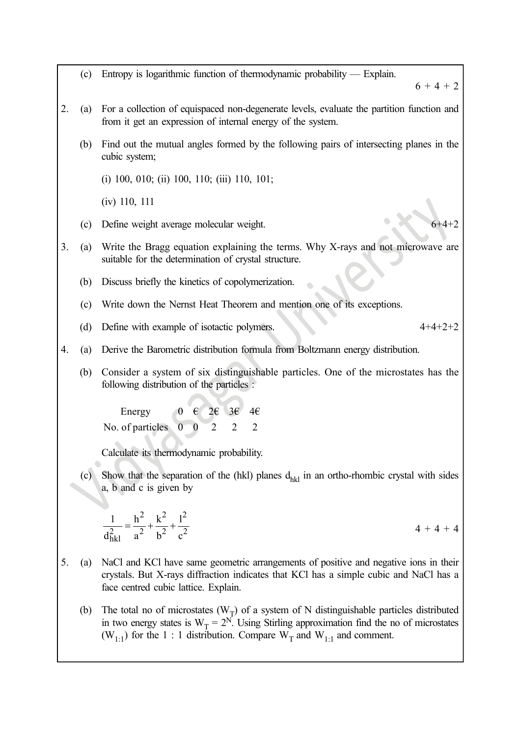(c) Entropy is logarithmic function of thermodynamic probability — Explain.  $6 + 4 + 2$ 2. (a) For a collection of equispaced non-degenerate levels, evaluate the partition function and from it get an expression of internal energy of the system. (b) Find out the mutual angles formed by the following pairs of intersecting planes in the cubic system; (i) 100, 010; (ii) 100, 110; (iii) 110, 101; (iv) 110, 111 (c) Define weight average molecular weight. 3. (a) Write the Bragg equation explaining the terms. Why X-rays and not microwave are suitable for the determination of crystal structure. (b) Discuss briefly the kinetics of copolymerization. (c) Write down the Nernst Heat Theorem and mention one of its exceptions. (d) Define with example of isotactic polymers. 4+4+2+2 4. (a) Derive the Barometric distribution formula from Boltzmann energy distribution. (b) Consider a system of six distinguishable particles. One of the microstates has the following distribution of the particles : Energy  $0 \in 2\epsilon \setminus 3\epsilon'$  4 $\epsilon$ No. of particles  $\begin{pmatrix} 0 & 0 & 2 & 2 \end{pmatrix}$ Calculate its thermodynamic probability. (c) Show that the separation of the (hkl) planes  $d_{hkl}$  in an ortho-rhombic crystal with sides a, b and c is given by 2  $k^2$   $1^2$  $\frac{2}{\text{hkl}} = \frac{2}{a^2} + \frac{1}{b^2} + \frac{1}{c^2}$ 1  $h^2$   $k^2$   $l^2$  $d_{hkl}^2$  a<sup>2</sup> b<sup>2</sup> c<sup>2</sup>  $=\frac{h^2}{2} + \frac{k^2}{12} + \frac{l^2}{2}$  4 + 4 + 4 5. (a) NaCl and KCl have same geometric arrangements of positive and negative ions in their crystals. But X-rays diffraction indicates that KCl has a simple cubic and NaCl has a face centred cubic lattice. Explain. (b) The total no of microstates  $(W_T)$  of a system of N distinguishable particles distributed in two energy states is  $W_T = 2^N$ . Using Stirling approximation find the no of microstates  $(W_{1:1})$  for the 1 : 1 distribution. Compare  $W_T$  and  $W_{1:1}$  and comment.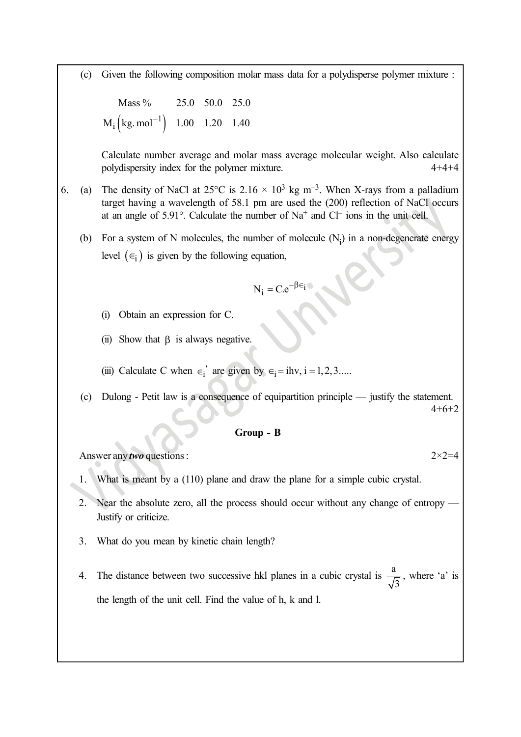(c) Given the following composition molar mass data for a polydisperse polymer mixture :

 $M_i$  (kg. mol<sup>-1</sup>) 1.00 1.20 1.40 Mass % 25.0 50.0 25.0

en the following composition molar mass data for a polydisperse polymer mixture<br>
Mass % 25.0 50.0 25.0<br>
(kg. mol<sup>-1</sup>) 1.00 1.20 1.40<br>
culate number average and molar mass average molecular weight. Also calcular<br>
dispersit Calculate number average and molar mass average molecular weight. Also calculate polydispersity index for the polymer mixture. 4+4+4

- 6. (a) The density of NaCl at 25°C is 2.16  $\times$  10<sup>3</sup> kg m<sup>-3</sup>. When X-rays from a palladium target having a wavelength of 58.1 pm are used the (200) reflection of NaCl occurs at an angle of  $5.91^\circ$ . Calculate the number of Na<sup>+</sup> and Cl<sup>-</sup> ions in the unit cell.
	- (b) For a system of N molecules, the number of molecule  $(N_i)$  in a non-degenerate energy level  $(\epsilon_i)$  is given by the following equation,

$$
N_i = C.e^{-\beta \in i}
$$

- (i) Obtain an expression for C.
- (ii) Show that  $\beta$  is always negative.
- (iii) Calculate C when  $\epsilon_i'$  are given by  $\epsilon_i = i$ hv, i = 1, 2, 3.....
- (c) Dulong Petit law is a consequence of equipartition principle justify the statement. 4+6+2

#### Group - B

Answer any *two* questions :  $2 \times 2 = 4$ 

- 1. What is meant by a (110) plane and draw the plane for a simple cubic crystal.
- 2. Near the absolute zero, all the process should occur without any change of entropy Justify or criticize.
- 3. What do you mean by kinetic chain length?
- 4. The distance between two successive hkl planes in a cubic crystal is  $\frac{a}{\sqrt{b}}$ 3 , where 'a' is the length of the unit cell. Find the value of h, k and l.